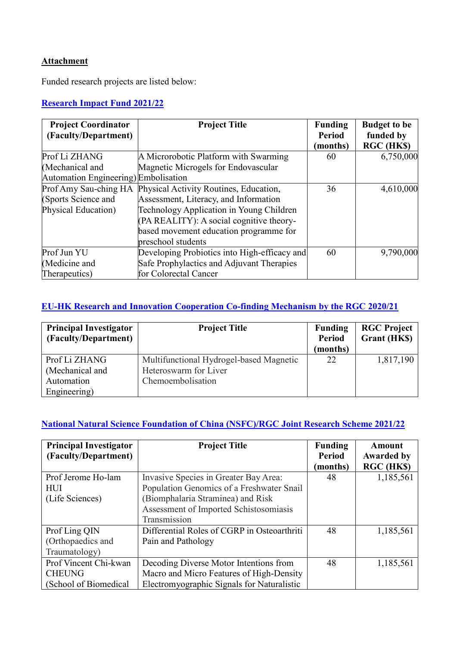### **Attachment**

Funded research projects are listed below:

# **[Research Impact Fund 2021/22](https://www.ugc.edu.hk/eng/rgc/funding_opport/rif/funded%20research/rif2122.html)**

| <b>Project Coordinator</b>           | <b>Project Title</b>                         | <b>Funding</b> | <b>Budget to be</b> |
|--------------------------------------|----------------------------------------------|----------------|---------------------|
| (Faculty/Department)                 |                                              | Period         | funded by           |
|                                      |                                              | (months)       | RGC (HK\$)          |
| Prof Li ZHANG                        | A Microrobotic Platform with Swarming        | 60             | 6,750,000           |
| (Mechanical and                      | Magnetic Microgels for Endovascular          |                |                     |
| Automation Engineering) Embolisation |                                              |                |                     |
| Prof Amy Sau-ching HA                | Physical Activity Routines, Education,       | 36             | 4,610,000           |
| (Sports Science and                  | Assessment, Literacy, and Information        |                |                     |
| Physical Education)                  | Technology Application in Young Children     |                |                     |
|                                      | (PA REALITY): A social cognitive theory-     |                |                     |
|                                      | based movement education programme for       |                |                     |
|                                      | preschool students                           |                |                     |
| Prof Jun YU                          | Developing Probiotics into High-efficacy and | 60             | 9,790,000           |
| (Medicine and                        | Safe Prophylactics and Adjuvant Therapies    |                |                     |
| Therapeutics)                        | for Colorectal Cancer                        |                |                     |

#### **[EU-HK Research and Innovation Cooperation Co-finding Mechanism by the RGC 2020/21](https://www.ugc.edu.hk/eng/rgc/funding_opport/eu_hk/funded_research/ec2021.html)**

| <b>Principal Investigator</b><br>(Faculty/Department) | <b>Project Title</b>                    | <b>Funding</b><br><b>Period</b><br>(months) | <b>RGC Project</b><br><b>Grant</b> (HKS) |
|-------------------------------------------------------|-----------------------------------------|---------------------------------------------|------------------------------------------|
| Prof Li ZHANG                                         | Multifunctional Hydrogel-based Magnetic | 22                                          | 1,817,190                                |
| (Mechanical and                                       | Heteroswarm for Liver                   |                                             |                                          |
| Automation                                            | Chemoembolisation                       |                                             |                                          |
| Engineering)                                          |                                         |                                             |                                          |

### **[National Natural Science Foundation of China \(NSFC\)/RGC](https://www.ugc.edu.hk/eng/rgc/funding_opport/nsfc/funded_research/list_award_e2021.html) Joint Research Scheme 2021/22**

| <b>Principal Investigator</b> | <b>Project Title</b>                        | <b>Funding</b> | <b>Amount</b>     |
|-------------------------------|---------------------------------------------|----------------|-------------------|
| (Faculty/Department)          |                                             | Period         | <b>Awarded by</b> |
|                               |                                             | (months)       | RGC (HK\$)        |
| Prof Jerome Ho-lam            | Invasive Species in Greater Bay Area:       | 48             | 1,185,561         |
| <b>HUI</b>                    | Population Genomics of a Freshwater Snail   |                |                   |
| (Life Sciences)               | (Biomphalaria Straminea) and Risk           |                |                   |
|                               | Assessment of Imported Schistosomiasis      |                |                   |
|                               | Transmission                                |                |                   |
| Prof Ling QIN                 | Differential Roles of CGRP in Osteoarthriti | 48             | 1,185,561         |
| (Orthopaedics and             | Pain and Pathology                          |                |                   |
| Traumatology)                 |                                             |                |                   |
| Prof Vincent Chi-kwan         | Decoding Diverse Motor Intentions from      | 48             | 1,185,561         |
| <b>CHEUNG</b>                 | Macro and Micro Features of High-Density    |                |                   |
| (School of Biomedical         | Electromyographic Signals for Naturalistic  |                |                   |